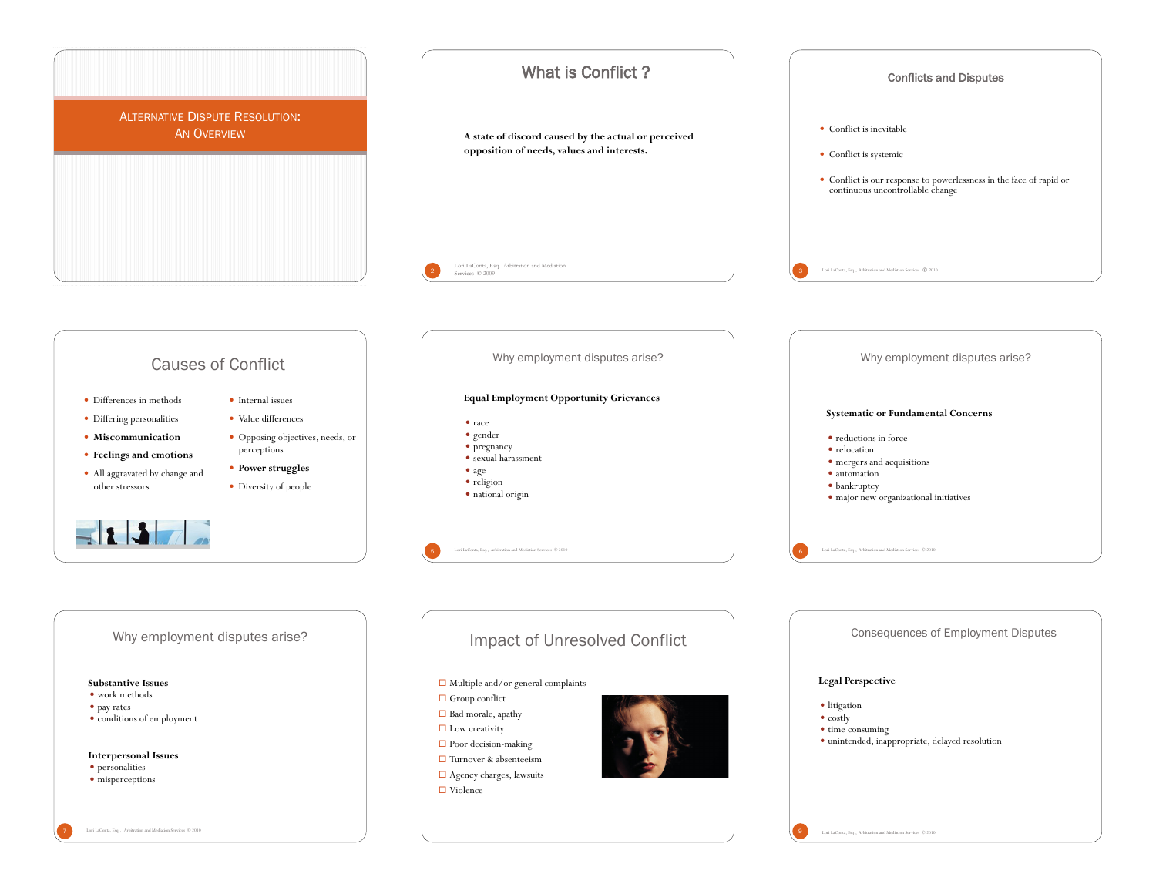

7 Lori LaConta, Esq., Arbitration and Mediation Services © 2010

Lori LaConta, Esq., Arbitration and Mediation Se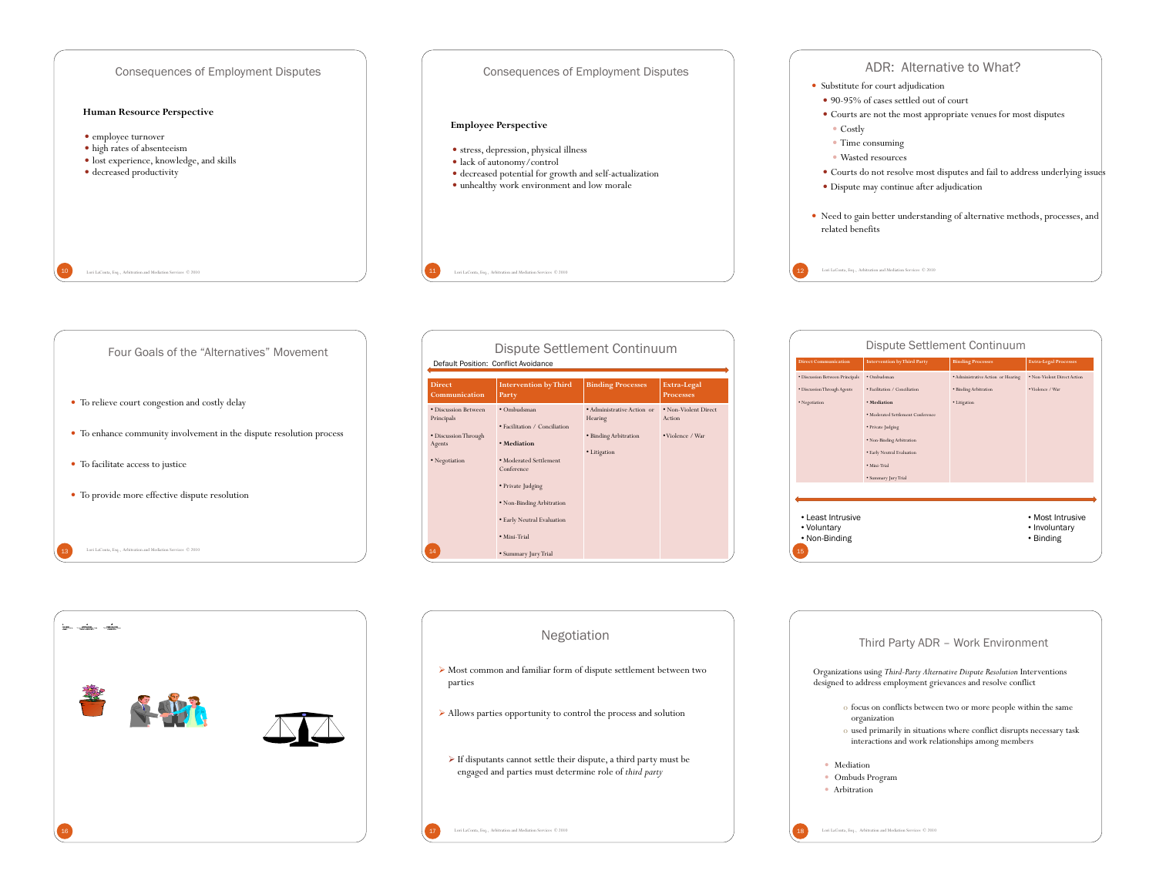



| $\label{eq:10} \underline{\mathsf{MP}}\xspace_{\mathsf{1}}\cdots \underline{\mathsf{MP}}\underline{\mathsf{MP}}\xspace_{\mathsf{1}}\cdots \cdots \underline{\mathsf{MP}}\underline{\mathsf{MP}}\xspace_{\mathsf{1}}.$ |  |
|-----------------------------------------------------------------------------------------------------------------------------------------------------------------------------------------------------------------------|--|
| 书<br>ł.                                                                                                                                                                                                               |  |
| ${\bf 16}$                                                                                                                                                                                                            |  |

| Dispute Settlement Continuum<br>Default Position: Conflict Avoidance                        |                                                                                                                                                                                                                             |                                                                                |                                                    |  |  |
|---------------------------------------------------------------------------------------------|-----------------------------------------------------------------------------------------------------------------------------------------------------------------------------------------------------------------------------|--------------------------------------------------------------------------------|----------------------------------------------------|--|--|
| <b>Direct</b><br>Communication                                                              | <b>Intervention by Third</b><br>Party                                                                                                                                                                                       | <b>Binding Processes</b>                                                       | Extra-Legal<br><b>Processes</b>                    |  |  |
| · Discussion Between<br>Principals<br>· Discussion Through<br>Agents<br>· Negotiation<br>14 | · Ombudsman<br>· Facilitation / Conciliation<br>· Mediation<br>· Moderated Settlement<br>Conference<br>· Private Judging<br>• Non-Binding Arbitration<br>• Early Neutral Evaluation<br>· Mini-Trial<br>· Summary Jury Trial | · Administrative Action or<br>Hearing<br>· Binding Arbitration<br>• Litigation | • Non-Violent Direct<br>Action<br>• Violence / War |  |  |

| Dispute Settlement Continuum                            |                                    |                                    |                                                |
|---------------------------------------------------------|------------------------------------|------------------------------------|------------------------------------------------|
| <b>Direct Communication</b>                             | <b>Intervention by Third Party</b> | <b>Binding Processes</b>           | <b>Extra-Legal Processes</b>                   |
| · Discussion Between Principals                         | · Ombudsman                        | · Administrative Action or Hearing | · Non-Violent Direct Action                    |
| · Discussion Through Agents                             | · Facilitation / Conciliation      | · Binding Arbitration              | • Violence / War                               |
| · Negotiation                                           | · Mediation                        | · Litigation                       |                                                |
|                                                         | · Moderated Settlement Conference  |                                    |                                                |
|                                                         | · Private Judging                  |                                    |                                                |
|                                                         | · Non-Binding Arbitration          |                                    |                                                |
|                                                         | · Early Neutral Evaluation         |                                    |                                                |
|                                                         | · Mini, Trial                      |                                    |                                                |
|                                                         | · Summary Jury Trial               |                                    |                                                |
|                                                         |                                    |                                    |                                                |
| • Least Intrusive<br>• Voluntary<br>• Non-Binding<br>15 |                                    |                                    | • Most Intrusive<br>• Involuntary<br>• Binding |

| <b>Negotiation</b>                                                                                                                          | Third Party ADR - Work Environment                                                                                                                                                                            |
|---------------------------------------------------------------------------------------------------------------------------------------------|---------------------------------------------------------------------------------------------------------------------------------------------------------------------------------------------------------------|
| $\triangleright$ Most common and familiar form of dispute settlement between two<br>parties                                                 | Organizations using Third-Party Alternative Dispute Resolution Interventions<br>designed to address employment grievances and resolve conflict                                                                |
| $\triangleright$ Allows parties opportunity to control the process and solution                                                             | o focus on conflicts between two or more people within the same<br>organization<br>o used primarily in situations where conflict disrupts necessary task<br>interactions and work relationships among members |
| $\triangleright$ If disputants cannot settle their dispute, a third party must be<br>engaged and parties must determine role of third party | • Mediation<br>Ombuds Program<br>• Arbitration                                                                                                                                                                |
| Lori LaConta, Esq., Arbitration and Mediation Services © 2010                                                                               | Lori LaConta, Esq., Arbitration and Mediation Services C 2010                                                                                                                                                 |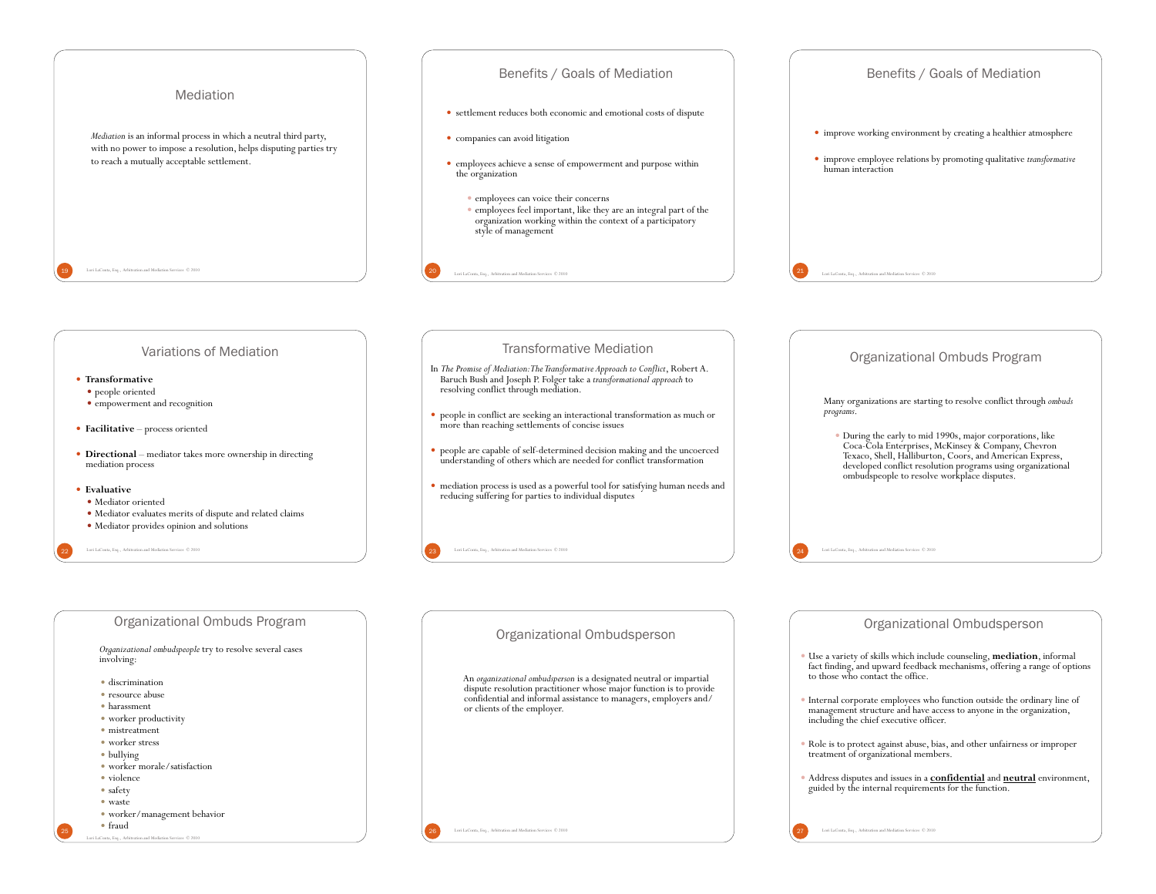

*Organizational ombudspeople* try to resolve several cases involving:

- **·** discrimination
- · resource abuse
- ! harassment
- worker productivity
- mistreatment
- worker stress
- bullying
- ! worker morale/satisfaction
- violence • safety
- ! waste
- ! worker/management behavior
- $•$  fraud

Lori LaConta, Esq., Arbitration and Mediation Services © 2010

### Organizational Ombudsperson

An *organizational ombudsperson* is a designated neutral or impartial dispute resolution practitioner whose major function is to provide confidential and informal assistance to managers, employers and/ or clients of the employer.

26 Lori LaConta, Esq., Arbitration and Mediation Services  $\degree$  2010

- ! Use a variety of skills which include counseling, **mediation**, informal fact finding, and upward feedback mechanisms, offering a range of options to those who contact the office.
- ! Internal corporate employees who function outside the ordinary line of management structure and have access to anyone in the organization, including the chief executive officer.
- ! Role is to protect against abuse, bias, and other unfairness or improper treatment of organizational members.
- ! Address disputes and issues in a **confidential** and **neutral** environment, guided by the internal requirements for the function.

27 Lori LaConta, Esq., Arbitration and Mediation Services  $\degree$  2010